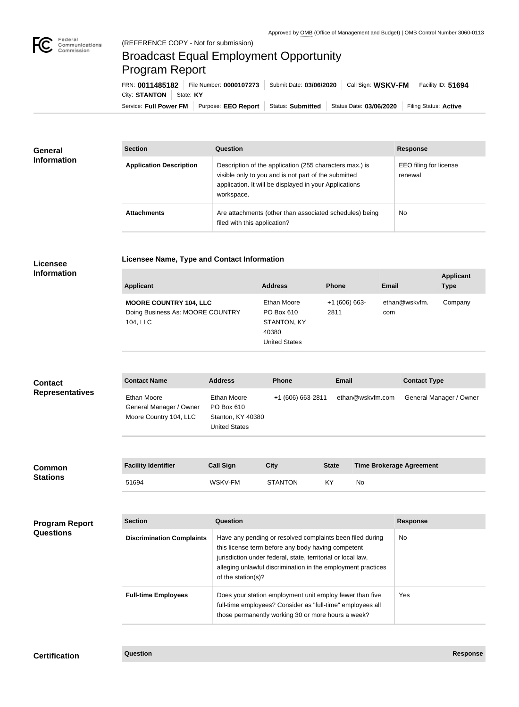

 $\overline{\phantom{a}}$ 

## (REFERENCE COPY - Not for submission) Broadcast Equal Employment Opportunity Program Report

Service: Full Power FM Purpose: EEO Report | Status: Submitted | Status Date: 03/06/2020 | Filing Status: Active City: **STANTON** State: KY FRN: **0011485182** File Number: **0000107273** Submit Date: **03/06/2020** Call Sign: **WSKV-FM** Facility ID: **51694**

| <b>General</b><br><b>Information</b> | <b>Section</b>                 | <b>Question</b>                                                                                                                                                                         | <b>Response</b>                   |
|--------------------------------------|--------------------------------|-----------------------------------------------------------------------------------------------------------------------------------------------------------------------------------------|-----------------------------------|
|                                      | <b>Application Description</b> | Description of the application (255 characters max.) is<br>visible only to you and is not part of the submitted<br>application. It will be displayed in your Applications<br>workspace. | EEO filing for license<br>renewal |
|                                      | <b>Attachments</b>             | Are attachments (other than associated schedules) being<br>filed with this application?                                                                                                 | <b>No</b>                         |

**Licensee Name, Type and Contact Information**

## **Licensee Information**

| <b>Applicant</b>                                                              | <b>Address</b>                                                                   | <b>Phone</b>          | Email                | <b>Applicant</b><br><b>Type</b> |
|-------------------------------------------------------------------------------|----------------------------------------------------------------------------------|-----------------------|----------------------|---------------------------------|
| <b>MOORE COUNTRY 104, LLC</b><br>Doing Business As: MOORE COUNTRY<br>104, LLC | Ethan Moore<br>PO Box 610<br><b>STANTON, KY</b><br>40380<br><b>United States</b> | $+1(606)663-$<br>2811 | ethan@wskvfm.<br>com | Company                         |

| <b>Contact</b>         | <b>Contact Name</b>                                              | <b>Address</b>                                                         | <b>Phone</b>      | Email            | <b>Contact Type</b>     |
|------------------------|------------------------------------------------------------------|------------------------------------------------------------------------|-------------------|------------------|-------------------------|
| <b>Representatives</b> | Ethan Moore<br>General Manager / Owner<br>Moore Country 104, LLC | Ethan Moore<br>PO Box 610<br>Stanton, KY 40380<br><b>United States</b> | +1 (606) 663-2811 | ethan@wskvfm.com | General Manager / Owner |

| <b>Common</b><br><b>Stations</b> | <b>Facility Identifier</b> | <b>Call Sign</b> | City           | <b>State</b> | <b>Time Brokerage Agreement</b> |
|----------------------------------|----------------------------|------------------|----------------|--------------|---------------------------------|
|                                  | 51694                      | WSKV-FM          | <b>STANTON</b> | KY           | No                              |

| <b>Program Report</b><br><b>Questions</b> | <b>Section</b>                   | Question                                                                                                                                                                                                                                                              | <b>Response</b> |
|-------------------------------------------|----------------------------------|-----------------------------------------------------------------------------------------------------------------------------------------------------------------------------------------------------------------------------------------------------------------------|-----------------|
|                                           | <b>Discrimination Complaints</b> | Have any pending or resolved complaints been filed during<br>this license term before any body having competent<br>jurisdiction under federal, state, territorial or local law,<br>alleging unlawful discrimination in the employment practices<br>of the station(s)? | <b>No</b>       |
|                                           | <b>Full-time Employees</b>       | Does your station employment unit employ fewer than five<br>full-time employees? Consider as "full-time" employees all<br>those permanently working 30 or more hours a week?                                                                                          | Yes:            |